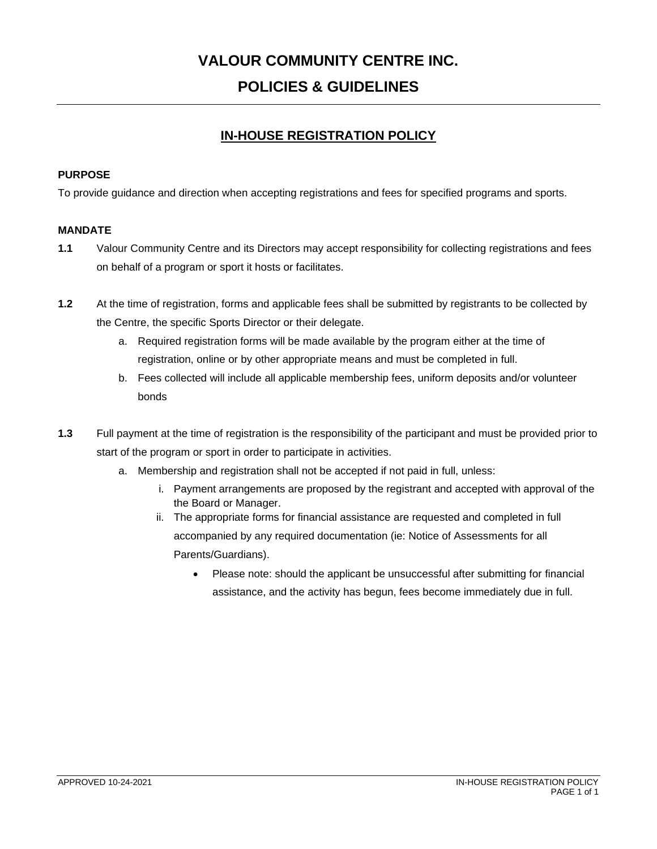# **VALOUR COMMUNITY CENTRE INC. POLICIES & GUIDELINES**

# **IN-HOUSE REGISTRATION POLICY**

# **PURPOSE**

To provide guidance and direction when accepting registrations and fees for specified programs and sports.

# **MANDATE**

- **1.1** Valour Community Centre and its Directors may accept responsibility for collecting registrations and fees on behalf of a program or sport it hosts or facilitates.
- **1.2** At the time of registration, forms and applicable fees shall be submitted by registrants to be collected by the Centre, the specific Sports Director or their delegate.
	- a. Required registration forms will be made available by the program either at the time of registration, online or by other appropriate means and must be completed in full.
	- b. Fees collected will include all applicable membership fees, uniform deposits and/or volunteer bonds
- **1.3** Full payment at the time of registration is the responsibility of the participant and must be provided prior to start of the program or sport in order to participate in activities.
	- a. Membership and registration shall not be accepted if not paid in full, unless:
		- i. Payment arrangements are proposed by the registrant and accepted with approval of the the Board or Manager.
		- ii. The appropriate forms for financial assistance are requested and completed in full accompanied by any required documentation (ie: Notice of Assessments for all Parents/Guardians).
			- Please note: should the applicant be unsuccessful after submitting for financial assistance, and the activity has begun, fees become immediately due in full.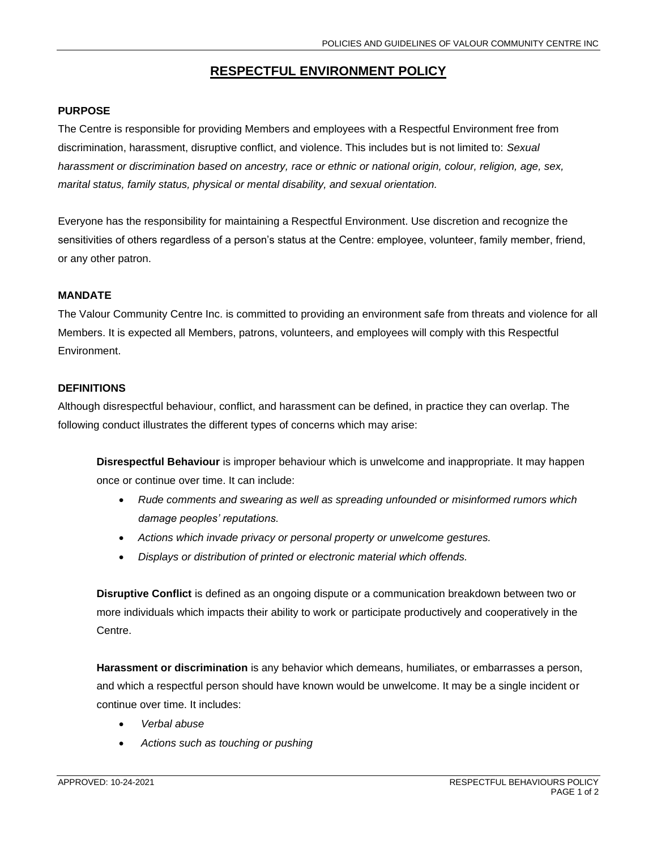# **RESPECTFUL ENVIRONMENT POLICY**

# **PURPOSE**

The Centre is responsible for providing Members and employees with a Respectful Environment free from discrimination, harassment, disruptive conflict, and violence. This includes but is not limited to: *Sexual harassment or discrimination based on ancestry, race or ethnic or national origin, colour, religion, age, sex, marital status, family status, physical or mental disability, and sexual orientation.*

Everyone has the responsibility for maintaining a Respectful Environment. Use discretion and recognize the sensitivities of others regardless of a person's status at the Centre: employee, volunteer, family member, friend, or any other patron.

#### **MANDATE**

The Valour Community Centre Inc. is committed to providing an environment safe from threats and violence for all Members. It is expected all Members, patrons, volunteers, and employees will comply with this Respectful Environment.

#### **DEFINITIONS**

Although disrespectful behaviour, conflict, and harassment can be defined, in practice they can overlap. The following conduct illustrates the different types of concerns which may arise:

**Disrespectful Behaviour** is improper behaviour which is unwelcome and inappropriate. It may happen once or continue over time. It can include:

- *Rude comments and swearing as well as spreading unfounded or misinformed rumors which damage peoples' reputations.*
- *Actions which invade privacy or personal property or unwelcome gestures.*
- *Displays or distribution of printed or electronic material which offends.*

**Disruptive Conflict** is defined as an ongoing dispute or a communication breakdown between two or more individuals which impacts their ability to work or participate productively and cooperatively in the Centre.

**Harassment or discrimination** is any behavior which demeans, humiliates, or embarrasses a person, and which a respectful person should have known would be unwelcome. It may be a single incident or continue over time. It includes:

- *Verbal abuse*
- *Actions such as touching or pushing*